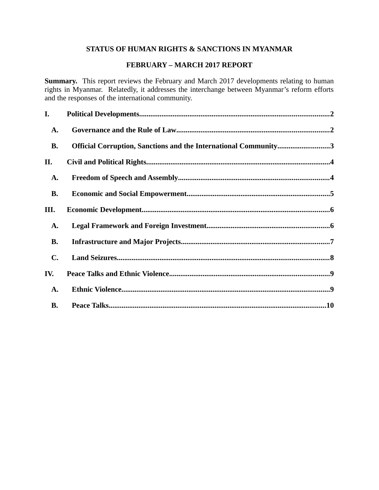# **STATUS OF HUMAN RIGHTS & SANCTIONS IN MYANMAR**

#### **FEBRUARY – MARCH 2017 REPORT**

**Summary.** This report reviews the February and March 2017 developments relating to human rights in Myanmar. Relatedly, it addresses the interchange between Myanmar's reform efforts and the responses of the international community.

| I.             |                                                                 |  |
|----------------|-----------------------------------------------------------------|--|
| A.             |                                                                 |  |
| <b>B.</b>      | Official Corruption, Sanctions and the International Community3 |  |
| II.            |                                                                 |  |
| A.             |                                                                 |  |
| <b>B.</b>      |                                                                 |  |
| III.           |                                                                 |  |
| A.             |                                                                 |  |
| <b>B.</b>      |                                                                 |  |
| $\mathbf{C}$ . |                                                                 |  |
| IV.            |                                                                 |  |
| A.             |                                                                 |  |
| <b>B.</b>      |                                                                 |  |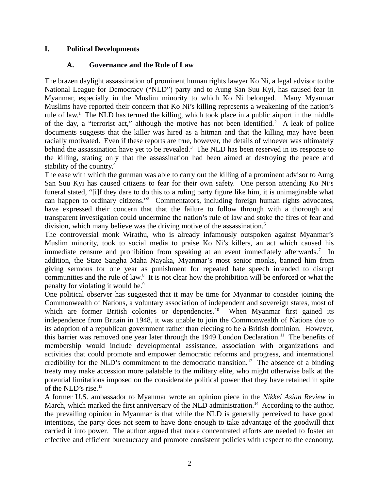## **I. Political Developments**

## <span id="page-1-1"></span><span id="page-1-0"></span>**A. Governance and the Rule of Law**

The brazen daylight assassination of prominent human rights lawyer Ko Ni, a legal advisor to the National League for Democracy ("NLD") party and to Aung San Suu Kyi, has caused fear in Myanmar, especially in the Muslim minority to which Ko Ni belonged. Many Myanmar Muslims have reported their concern that Ko Ni's killing represents a weakening of the nation's rule of law.<sup>1</sup> The NLD has termed the killing, which took place in a public airport in the middle of the day, a "terrorist act," although the motive has not been identified.<sup>2</sup> A leak of police documents suggests that the killer was hired as a hitman and that the killing may have been racially motivated. Even if these reports are true, however, the details of whoever was ultimately behind the assassination have yet to be revealed. $3\,$  The NLD has been reserved in its response to the killing, stating only that the assassination had been aimed at destroying the peace and stability of the country.<sup>4</sup>

The ease with which the gunman was able to carry out the killing of a prominent advisor to Aung San Suu Kyi has caused citizens to fear for their own safety. One person attending Ko Ni's funeral stated, "[i]f they dare to do this to a ruling party figure like him, it is unimaginable what can happen to ordinary citizens."<sup>5</sup> Commentators, including foreign human rights advocates, have expressed their concern that that the failure to follow through with a thorough and transparent investigation could undermine the nation's rule of law and stoke the fires of fear and division, which many believe was the driving motive of the assassination.<sup>6</sup>

The controversial monk Wirathu, who is already infamously outspoken against Myanmar's Muslim minority, took to social media to praise Ko Ni's killers, an act which caused his immediate censure and prohibition from speaking at an event immediately afterwards. $\mathrm{^{7}}$  In addition, the State Sangha Maha Nayaka, Myanmar's most senior monks, banned him from giving sermons for one year as punishment for repeated hate speech intended to disrupt communities and the rule of law.<sup>8</sup> It is not clear how the prohibition will be enforced or what the penalty for violating it would be.<sup>9</sup>

One political observer has suggested that it may be time for Myanmar to consider joining the Commonwealth of Nations, a voluntary association of independent and sovereign states, most of which are former British colonies or dependencies.<sup>10</sup> When Myanmar first gained its independence from Britain in 1948, it was unable to join the Commonwealth of Nations due to its adoption of a republican government rather than electing to be a British dominion. However, this barrier was removed one year later through the 1949 London Declaration.<sup>11</sup> The benefits of membership would include developmental assistance, association with organizations and activities that could promote and empower democratic reforms and progress, and international credibility for the NLD's commitment to the democratic transition.<sup>12</sup> The absence of a binding treaty may make accession more palatable to the military elite, who might otherwise balk at the potential limitations imposed on the considerable political power that they have retained in spite of the NLD's rise.<sup>13</sup>

A former U.S. ambassador to Myanmar wrote an opinion piece in the *Nikkei Asian Review* in March, which marked the first anniversary of the NLD administration.<sup>14</sup> According to the author, the prevailing opinion in Myanmar is that while the NLD is generally perceived to have good intentions, the party does not seem to have done enough to take advantage of the goodwill that carried it into power. The author argued that more concentrated efforts are needed to foster an effective and efficient bureaucracy and promote consistent policies with respect to the economy,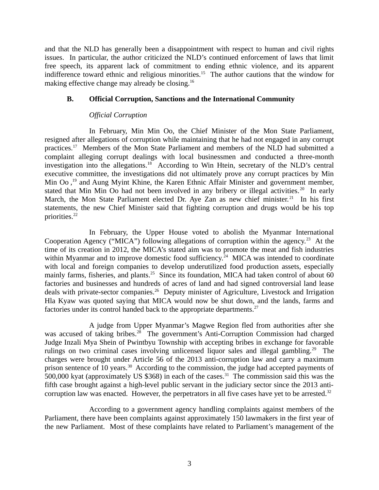and that the NLD has generally been a disappointment with respect to human and civil rights issues. In particular, the author criticized the NLD's continued enforcement of laws that limit free speech, its apparent lack of commitment to ending ethnic violence, and its apparent indifference toward ethnic and religious minorities.<sup>15</sup> The author cautions that the window for making effective change may already be closing.<sup>16</sup>

### **B. Official Corruption, Sanctions and the International Community**

### <span id="page-2-0"></span>*Official Corruption*

In February, Min Min Oo, the Chief Minister of the Mon State Parliament, resigned after allegations of corruption while maintaining that he had not engaged in any corrupt practices.<sup>17</sup> Members of the Mon State Parliament and members of the NLD had submitted a complaint alleging corrupt dealings with local businessmen and conducted a three-month investigation into the allegations.<sup>18</sup> According to Win Htein, secretary of the NLD's central executive committee, the investigations did not ultimately prove any corrupt practices by Min Min Oo,<sup>19</sup> and Aung Myint Khine, the Karen Ethnic Affair Minister and government member, stated that Min Min Oo had not been involved in any bribery or illegal activities.<sup>20</sup> In early March, the Mon State Parliament elected Dr. Aye Zan as new chief minister.<sup>21</sup> In his first statements, the new Chief Minister said that fighting corruption and drugs would be his top priorities.<sup>22</sup>

In February, the Upper House voted to abolish the Myanmar International Cooperation Agency ("MICA") following allegations of corruption within the agency.<sup>23</sup> At the time of its creation in 2012, the MICA's stated aim was to promote the meat and fish industries within Myanmar and to improve domestic food sufficiency.<sup>24</sup> MICA was intended to coordinate with local and foreign companies to develop underutilized food production assets, especially mainly farms, fisheries, and plants.<sup>25</sup> Since its foundation, MICA had taken control of about 60 factories and businesses and hundreds of acres of land and had signed controversial land lease deals with private-sector companies.<sup>26</sup> Deputy minister of Agriculture, Livestock and Irrigation Hla Kyaw was quoted saying that MICA would now be shut down, and the lands, farms and factories under its control handed back to the appropriate departments.<sup>27</sup>

A judge from Upper Myanmar's Magwe Region fled from authorities after she was accused of taking bribes.<sup>28</sup> The government's Anti-Corruption Commission had charged Judge Inzali Mya Shein of Pwintbyu Township with accepting bribes in exchange for favorable rulings on two criminal cases involving unlicensed liquor sales and illegal gambling.<sup>29</sup> The charges were brought under Article 56 of the 2013 anti-corruption law and carry a maximum prison sentence of 10 years.<sup>30</sup> According to the commission, the judge had accepted payments of 500,000 kyat (approximately US  $$368$ ) in each of the cases.<sup>31</sup> The commission said this was the fifth case brought against a high-level public servant in the judiciary sector since the 2013 anticorruption law was enacted. However, the perpetrators in all five cases have yet to be arrested.<sup>32</sup>

According to a government agency handling complaints against members of the Parliament, there have been complaints against approximately 150 lawmakers in the first year of the new Parliament. Most of these complaints have related to Parliament's management of the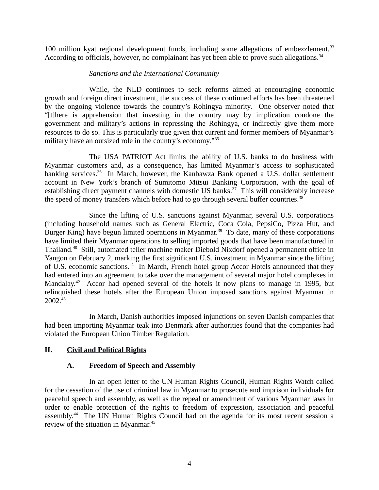100 million kyat regional development funds, including some allegations of embezzlement.<sup>33</sup> According to officials, however, no complainant has yet been able to prove such allegations.<sup>34</sup>

#### *Sanctions and the International Community*

While, the NLD continues to seek reforms aimed at encouraging economic growth and foreign direct investment, the success of these continued efforts has been threatened by the ongoing violence towards the country's Rohingya minority. One observer noted that "[t]here is apprehension that investing in the country may by implication condone the government and military's actions in repressing the Rohingya, or indirectly give them more resources to do so. This is particularly true given that current and former members of Myanmar's military have an outsized role in the country's economy."<sup>35</sup>

The USA PATRIOT Act limits the ability of U.S. banks to do business with Myanmar customers and, as a consequence, has limited Myanmar's access to sophisticated banking services.<sup>36</sup> In March, however, the Kanbawza Bank opened a U.S. dollar settlement account in New York's branch of Sumitomo Mitsui Banking Corporation, with the goal of establishing direct payment channels with domestic US banks.<sup>37</sup> This will considerably increase the speed of money transfers which before had to go through several buffer countries. $38$ 

Since the lifting of U.S. sanctions against Myanmar, several U.S. corporations (including household names such as General Electric, Coca Cola, PepsiCo, Pizza Hut, and Burger King) have begun limited operations in Myanmar.<sup>39</sup> To date, many of these corporations have limited their Myanmar operations to selling imported goods that have been manufactured in Thailand.<sup>40</sup> Still, automated teller machine maker Diebold Nixdorf opened a permanent office in Yangon on February 2, marking the first significant U.S. investment in Myanmar since the lifting of U.S. economic sanctions.<sup>41</sup> In March, French hotel group Accor Hotels announced that they had entered into an agreement to take over the management of several major hotel complexes in Mandalay.<sup>42</sup> Accor had opened several of the hotels it now plans to manage in 1995, but relinquished these hotels after the European Union imposed sanctions against Myanmar in  $2002.<sup>43</sup>$ 

In March, Danish authorities imposed injunctions on seven Danish companies that had been importing Myanmar teak into Denmark after authorities found that the companies had violated the European Union Timber Regulation.

## **II. Civil and Political Rights**

## <span id="page-3-1"></span><span id="page-3-0"></span>**A. Freedom of Speech and Assembly**

In an open letter to the UN Human Rights Council, Human Rights Watch called for the cessation of the use of criminal law in Myanmar to prosecute and imprison individuals for peaceful speech and assembly, as well as the repeal or amendment of various Myanmar laws in order to enable protection of the rights to freedom of expression, association and peaceful assembly.<sup>44</sup> The UN Human Rights Council had on the agenda for its most recent session a review of the situation in Myanmar.<sup>45</sup>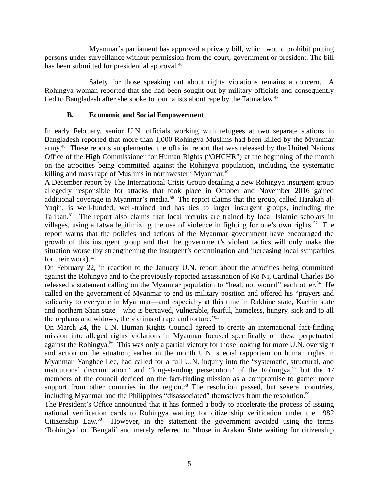Myanmar's parliament has approved a privacy bill, which would prohibit putting persons under surveillance without permission from the court, government or president. The bill has been submitted for presidential approval.<sup>46</sup>

Safety for those speaking out about rights violations remains a concern. A Rohingya woman reported that she had been sought out by military officials and consequently fled to Bangladesh after she spoke to journalists about rape by the Tatmadaw. $47$ 

## <span id="page-4-0"></span>**B. Economic and Social Empowerment**

In early February, senior U.N. officials working with refugees at two separate stations in Bangladesh reported that more than 1,000 Rohingya Muslims had been killed by the Myanmar army.<sup>48</sup> These reports supplemented the official report that was released by the United Nations Office of the High Commissioner for Human Rights ("OHCHR") at the beginning of the month on the atrocities being committed against the Rohingya population, including the systematic killing and mass rape of Muslims in northwestern Myanmar.<sup>49</sup>

A December report by The International Crisis Group detailing a new Rohingya insurgent group allegedly responsible for attacks that took place in October and November 2016 gained additional coverage in Myanmar's media.<sup>50</sup> The report claims that the group, called Harakah al-Yaqin, is well-funded, well-trained and has ties to larger insurgent groups, including the Taliban.<sup>51</sup> The report also claims that local recruits are trained by local Islamic scholars in villages, using a fatwa legitimizing the use of violence in fighting for one's own rights.<sup>52</sup> The report warns that the policies and actions of the Myanmar government have encouraged the growth of this insurgent group and that the government's violent tactics will only make the situation worse (by strengthening the insurgent's determination and increasing local sympathies for their work). $53$ 

On February 22, in reaction to the January U.N. report about the atrocities being committed against the Rohingya and to the previously-reported assassination of Ko Ni, Cardinal Charles Bo released a statement calling on the Myanmar population to "heal, not wound" each other.<sup>54</sup> He called on the government of Myanmar to end its military position and offered his "prayers and solidarity to everyone in Myanmar—and especially at this time in Rakhine state, Kachin state and northern Shan state—who is bereaved, vulnerable, fearful, homeless, hungry, sick and to all the orphans and widows, the victims of rape and torture."<sup>55</sup>

On March 24, the U.N. Human Rights Council agreed to create an international fact-finding mission into alleged rights violations in Myanmar focused specifically on these perpetuated against the Rohingya.<sup>56</sup> This was only a partial victory for those looking for more U.N. oversight and action on the situation; earlier in the month U.N. special rapporteur on human rights in Myanmar, Yanghee Lee, had called for a full U.N. inquiry into the "systematic, structural, and institutional discrimination" and "long-standing persecution" of the Rohingya, $57$  but the 47 members of the council decided on the fact-finding mission as a compromise to garner more support from other countries in the region.<sup>58</sup> The resolution passed, but several countries, including Myanmar and the Philippines "disassociated" themselves from the resolution.<sup>59</sup>

The President's Office announced that it has formed a body to accelerate the process of issuing national verification cards to Rohingya waiting for citizenship verification under the 1982 Citizenship Law. $60$  However, in the statement the government avoided using the terms 'Rohingya' or 'Bengali' and merely referred to "those in Arakan State waiting for citizenship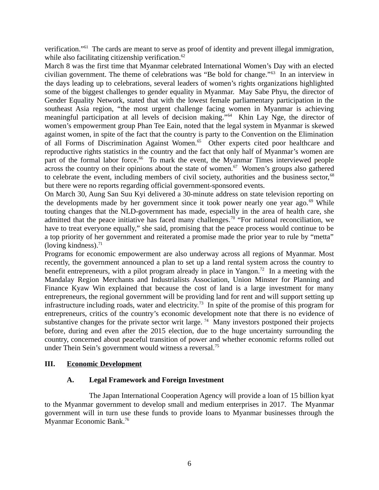verification."<sup>61</sup> The cards are meant to serve as proof of identity and prevent illegal immigration, while also facilitating citizenship verification. $62$ 

March 8 was the first time that Myanmar celebrated International Women's Day with an elected civilian government. The theme of celebrations was "Be bold for change."<sup>63</sup> In an interview in the days leading up to celebrations, several leaders of women's rights organizations highlighted some of the biggest challenges to gender equality in Myanmar. May Sabe Phyu, the director of Gender Equality Network, stated that with the lowest female parliamentary participation in the southeast Asia region, "the most urgent challenge facing women in Myanmar is achieving meaningful participation at all levels of decision making."<sup>64</sup> Khin Lay Nge, the director of women's empowerment group Phan Tee Eain, noted that the legal system in Myanmar is skewed against women, in spite of the fact that the country is party to the Convention on the Elimination of all Forms of Discrimination Against Women.<sup>65</sup> Other experts cited poor healthcare and reproductive rights statistics in the country and the fact that only half of Myanmar's women are part of the formal labor force.<sup>66</sup> To mark the event, the Myanmar Times interviewed people across the country on their opinions about the state of women.<sup>67</sup> Women's groups also gathered to celebrate the event, including members of civil society, authorities and the business sector,<sup>68</sup> but there were no reports regarding official government-sponsored events.

On March 30, Aung San Suu Kyi delivered a 30-minute address on state television reporting on the developments made by her government since it took power nearly one year ago. $69$  While touting changes that the NLD-government has made, especially in the area of health care, she admitted that the peace initiative has faced many challenges.<sup>70</sup> "For national reconciliation, we have to treat everyone equally," she said, promising that the peace process would continue to be a top priority of her government and reiterated a promise made the prior year to rule by "metta" (loving kindness). $71$ 

Programs for economic empowerment are also underway across all regions of Myanmar. Most recently, the government announced a plan to set up a land rental system across the country to benefit entrepreneurs, with a pilot program already in place in Yangon.<sup>72</sup> In a meeting with the Mandalay Region Merchants and Industrialists Association, Union Minster for Planning and Finance Kyaw Win explained that because the cost of land is a large investment for many entrepreneurs, the regional government will be providing land for rent and will support setting up infrastructure including roads, water and electricity.<sup>73</sup> In spite of the promise of this program for entrepreneurs, critics of the country's economic development note that there is no evidence of substantive changes for the private sector writ large.  $74$  Many investors postponed their projects before, during and even after the 2015 election, due to the huge uncertainty surrounding the country, concerned about peaceful transition of power and whether economic reforms rolled out under Thein Sein's government would witness a reversal.<sup>75</sup>

#### **III. Economic Development**

#### <span id="page-5-1"></span><span id="page-5-0"></span>**A. Legal Framework and Foreign Investment**

The Japan International Cooperation Agency will provide a loan of 15 billion kyat to the Myanmar government to develop small and medium enterprises in 2017. The Myanmar government will in turn use these funds to provide loans to Myanmar businesses through the Myanmar Economic Bank.<sup>76</sup>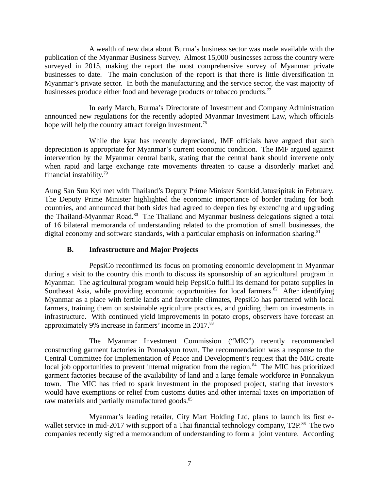A wealth of new data about Burma's business sector was made available with the publication of the Myanmar Business Survey. Almost 15,000 businesses across the country were surveyed in 2015, making the report the most comprehensive survey of Myanmar private businesses to date. The main conclusion of the report is that there is little diversification in Myanmar's private sector. In both the manufacturing and the service sector, the vast majority of businesses produce either food and beverage products or tobacco products.<sup>77</sup>

In early March, Burma's Directorate of Investment and Company Administration announced new regulations for the recently adopted Myanmar Investment Law, which officials hope will help the country attract foreign investment.<sup>78</sup>

While the kyat has recently depreciated, IMF officials have argued that such depreciation is appropriate for Myanmar's current economic condition. The IMF argued against intervention by the Myanmar central bank, stating that the central bank should intervene only when rapid and large exchange rate movements threaten to cause a disorderly market and financial instability.<sup>79</sup>

Aung San Suu Kyi met with Thailand's Deputy Prime Minister Somkid Jatusripitak in February. The Deputy Prime Minister highlighted the economic importance of border trading for both countries, and announced that both sides had agreed to deepen ties by extending and upgrading the Thailand-Myanmar Road.<sup>80</sup> The Thailand and Myanmar business delegations signed a total of 16 bilateral memoranda of understanding related to the promotion of small businesses, the digital economy and software standards, with a particular emphasis on information sharing. $81$ 

## <span id="page-6-0"></span>**B. Infrastructure and Major Projects**

PepsiCo reconfirmed its focus on promoting economic development in Myanmar during a visit to the country this month to discuss its sponsorship of an agricultural program in Myanmar. The agricultural program would help PepsiCo fulfill its demand for potato supplies in Southeast Asia, while providing economic opportunities for local farmers.<sup>82</sup> After identifying Myanmar as a place with fertile lands and favorable climates, PepsiCo has partnered with local farmers, training them on sustainable agriculture practices, and guiding them on investments in infrastructure. With continued yield improvements in potato crops, observers have forecast an approximately 9% increase in farmers' income in 2017. $83$ 

The Myanmar Investment Commission ("MIC") recently recommended constructing garment factories in Ponnakyun town. The recommendation was a response to the Central Committee for Implementation of Peace and Development's request that the MIC create local job opportunities to prevent internal migration from the region.<sup>84</sup> The MIC has prioritized garment factories because of the availability of land and a large female workforce in Ponnakyun town. The MIC has tried to spark investment in the proposed project, stating that investors would have exemptions or relief from customs duties and other internal taxes on importation of raw materials and partially manufactured goods.<sup>85</sup>

Myanmar's leading retailer, City Mart Holding Ltd, plans to launch its first ewallet service in mid-2017 with support of a Thai financial technology company, T2P.<sup>86</sup> The two companies recently signed a memorandum of understanding to form a joint venture. According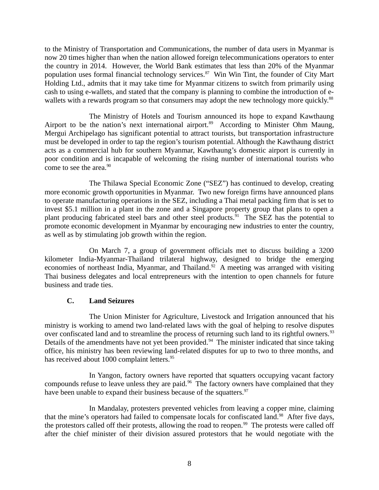to the Ministry of Transportation and Communications, the number of data users in Myanmar is now 20 times higher than when the nation allowed foreign telecommunications operators to enter the country in 2014. However, the World Bank estimates that less than 20% of the Myanmar population uses formal financial technology services. $87$  Win Win Tint, the founder of City Mart Holding Ltd., admits that it may take time for Myanmar citizens to switch from primarily using cash to using e-wallets, and stated that the company is planning to combine the introduction of ewallets with a rewards program so that consumers may adopt the new technology more quickly.<sup>88</sup>

The Ministry of Hotels and Tourism announced its hope to expand Kawthaung Airport to be the nation's next international airport.<sup>89</sup> According to Minister Ohm Maung, Mergui Archipelago has significant potential to attract tourists, but transportation infrastructure must be developed in order to tap the region's tourism potential. Although the Kawthaung district acts as a commercial hub for southern Myanmar, Kawthaung's domestic airport is currently in poor condition and is incapable of welcoming the rising number of international tourists who come to see the area. $90$ 

The Thilawa Special Economic Zone ("SEZ") has continued to develop, creating more economic growth opportunities in Myanmar. Two new foreign firms have announced plans to operate manufacturing operations in the SEZ, including a Thai metal packing firm that is set to invest \$5.1 million in a plant in the zone and a Singapore property group that plans to open a plant producing fabricated steel bars and other steel products.<sup>91</sup> The SEZ has the potential to promote economic development in Myanmar by encouraging new industries to enter the country, as well as by stimulating job growth within the region.

On March 7, a group of government officials met to discuss building a 3200 kilometer India-Myanmar-Thailand trilateral highway, designed to bridge the emerging economies of northeast India, Myanmar, and Thailand.<sup>92</sup> A meeting was arranged with visiting Thai business delegates and local entrepreneurs with the intention to open channels for future business and trade ties.

## <span id="page-7-0"></span>**C. Land Seizures**

The Union Minister for Agriculture, Livestock and Irrigation announced that his ministry is working to amend two land-related laws with the goal of helping to resolve disputes over confiscated land and to streamline the process of returning such land to its rightful owners.<sup>93</sup> Details of the amendments have not yet been provided.<sup>94</sup> The minister indicated that since taking office, his ministry has been reviewing land-related disputes for up to two to three months, and has received about 1000 complaint letters.<sup>95</sup>

In Yangon, factory owners have reported that squatters occupying vacant factory compounds refuse to leave unless they are paid. $96$  The factory owners have complained that they have been unable to expand their business because of the squatters.  $97$ 

In Mandalay, protesters prevented vehicles from leaving a copper mine, claiming that the mine's operators had failed to compensate locals for confiscated land.<sup>98</sup> After five days, the protestors called off their protests, allowing the road to reopen.<sup>99</sup> The protests were called off after the chief minister of their division assured protestors that he would negotiate with the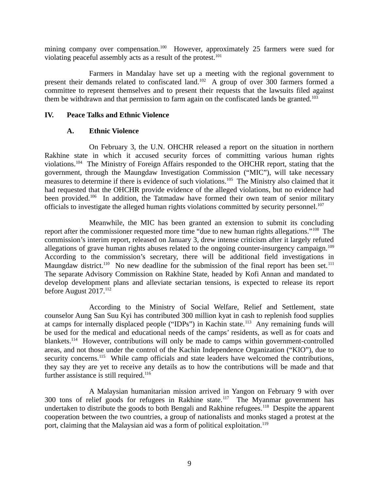mining company over compensation.<sup>100</sup> However, approximately 25 farmers were sued for violating peaceful assembly acts as a result of the protest.<sup>101</sup>

Farmers in Mandalay have set up a meeting with the regional government to present their demands related to confiscated land.<sup>102</sup> A group of over 300 farmers formed a committee to represent themselves and to present their requests that the lawsuits filed against them be withdrawn and that permission to farm again on the confiscated lands be granted.<sup>103</sup>

#### **IV. Peace Talks and Ethnic Violence**

#### <span id="page-8-1"></span><span id="page-8-0"></span>**A. Ethnic Violence**

On February 3, the U.N. OHCHR released a report on the situation in northern Rakhine state in which it accused security forces of committing various human rights violations.<sup>104</sup> The Ministry of Foreign Affairs responded to the OHCHR report, stating that the government, through the Maungdaw Investigation Commission ("MIC"), will take necessary measures to determine if there is evidence of such violations.<sup>105</sup> The Ministry also claimed that it had requested that the OHCHR provide evidence of the alleged violations, but no evidence had been provided.<sup>106</sup> In addition, the Tatmadaw have formed their own team of senior military officials to investigate the alleged human rights violations committed by security personnel.<sup>107</sup>

Meanwhile, the MIC has been granted an extension to submit its concluding report after the commissioner requested more time "due to new human rights allegations."<sup>108</sup> The commission's interim report, released on January 3, drew intense criticism after it largely refuted allegations of grave human rights abuses related to the ongoing counter-insurgency campaign.<sup>109</sup> According to the commission's secretary, there will be additional field investigations in Maungdaw district.<sup>110</sup> No new deadline for the submission of the final report has been set.<sup>111</sup> The separate Advisory Commission on Rakhine State, headed by Kofi Annan and mandated to develop development plans and alleviate sectarian tensions, is expected to release its report before August 2017.<sup>112</sup>

According to the Ministry of Social Welfare, Relief and Settlement, state counselor Aung San Suu Kyi has contributed 300 million kyat in cash to replenish food supplies at camps for internally displaced people ("IDPs") in Kachin state.<sup>113</sup> Any remaining funds will be used for the medical and educational needs of the camps' residents, as well as for coats and blankets.<sup>114</sup> However, contributions will only be made to camps within government-controlled areas, and not those under the control of the Kachin Independence Organization ("KIO"), due to security concerns.<sup>115</sup> While camp officials and state leaders have welcomed the contributions, they say they are yet to receive any details as to how the contributions will be made and that further assistance is still required.<sup>116</sup>

A Malaysian humanitarian mission arrived in Yangon on February 9 with over 300 tons of relief goods for refugees in Rakhine state.<sup>117</sup> The Myanmar government has undertaken to distribute the goods to both Bengali and Rakhine refugees.<sup>118</sup> Despite the apparent cooperation between the two countries, a group of nationalists and monks staged a protest at the port, claiming that the Malaysian aid was a form of political exploitation.<sup>119</sup>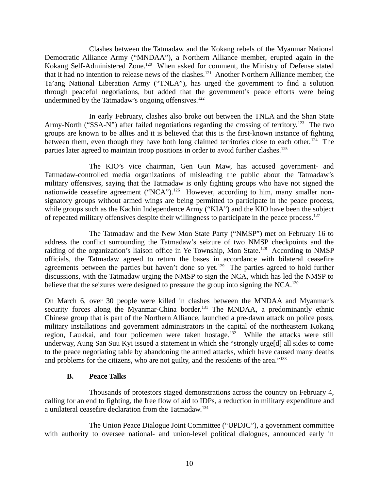Clashes between the Tatmadaw and the Kokang rebels of the Myanmar National Democratic Alliance Army ("MNDAA"), a Northern Alliance member, erupted again in the Kokang Self-Administered Zone.<sup>120</sup> When asked for comment, the Ministry of Defense stated that it had no intention to release news of the clashes.<sup>121</sup> Another Northern Alliance member, the Ta'ang National Liberation Army ("TNLA"), has urged the government to find a solution through peaceful negotiations, but added that the government's peace efforts were being undermined by the Tatmadaw's ongoing offensives. $122$ 

In early February, clashes also broke out between the TNLA and the Shan State Army-North ("SSA-N") after failed negotiations regarding the crossing of territory.<sup>123</sup> The two groups are known to be allies and it is believed that this is the first-known instance of fighting between them, even though they have both long claimed territories close to each other.<sup>124</sup> The parties later agreed to maintain troop positions in order to avoid further clashes.<sup>125</sup>

The KIO's vice chairman, Gen Gun Maw, has accused government- and Tatmadaw-controlled media organizations of misleading the public about the Tatmadaw's military offensives, saying that the Tatmadaw is only fighting groups who have not signed the nationwide ceasefire agreement ("NCA").<sup>126</sup> However, according to him, many smaller nonsignatory groups without armed wings are being permitted to participate in the peace process, while groups such as the Kachin Independence Army ("KIA") and the KIO have been the subject of repeated military offensives despite their willingness to participate in the peace process.<sup>127</sup>

The Tatmadaw and the New Mon State Party ("NMSP") met on February 16 to address the conflict surrounding the Tatmadaw's seizure of two NMSP checkpoints and the raiding of the organization's liaison office in Ye Township, Mon State.<sup>128</sup> According to NMSP officials, the Tatmadaw agreed to return the bases in accordance with bilateral ceasefire agreements between the parties but haven't done so yet.<sup>129</sup> The parties agreed to hold further discussions, with the Tatmadaw urging the NMSP to sign the NCA, which has led the NMSP to believe that the seizures were designed to pressure the group into signing the  $NCA$ <sup>130</sup>

On March 6, over 30 people were killed in clashes between the MNDAA and Myanmar's security forces along the Myanmar-China border.<sup>131</sup> The MNDAA, a predominantly ethnic Chinese group that is part of the Northern Alliance, launched a pre-dawn attack on police posts, military installations and government administrators in the capital of the northeastern Kokang region, Laukkai, and four policemen were taken hostage.<sup>132</sup> While the attacks were still underway, Aung San Suu Kyi issued a statement in which she "strongly urge[d] all sides to come to the peace negotiating table by abandoning the armed attacks, which have caused many deaths and problems for the citizens, who are not guilty, and the residents of the area."<sup>133</sup>

#### <span id="page-9-0"></span>**B. Peace Talks**

Thousands of protestors staged demonstrations across the country on February 4, calling for an end to fighting, the free flow of aid to IDPs, a reduction in military expenditure and a unilateral ceasefire declaration from the Tatmadaw.<sup>134</sup>

The Union Peace Dialogue Joint Committee ("UPDJC"), a government committee with authority to oversee national- and union-level political dialogues, announced early in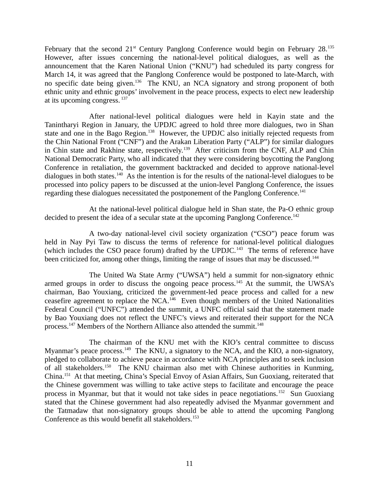February that the second  $21^{st}$  Century Panglong Conference would begin on February 28.<sup>135</sup> However, after issues concerning the national-level political dialogues, as well as the announcement that the Karen National Union ("KNU") had scheduled its party congress for March 14, it was agreed that the Panglong Conference would be postponed to late-March, with no specific date being given.<sup>136</sup> The KNU, an NCA signatory and strong proponent of both ethnic unity and ethnic groups' involvement in the peace process, expects to elect new leadership at its upcoming congress.  $137$ 

After national-level political dialogues were held in Kayin state and the Tanintharyi Region in January, the UPDJC agreed to hold three more dialogues, two in Shan state and one in the Bago Region.<sup>138</sup> However, the UPDJC also initially rejected requests from the Chin National Front ("CNF") and the Arakan Liberation Party ("ALP") for similar dialogues in Chin state and Rakhine state, respectively.<sup>139</sup> After criticism from the CNF, ALP and Chin National Democratic Party, who all indicated that they were considering boycotting the Panglong Conference in retaliation, the government backtracked and decided to approve national-level dialogues in both states.<sup>140</sup> As the intention is for the results of the national-level dialogues to be processed into policy papers to be discussed at the union-level Panglong Conference, the issues regarding these dialogues necessitated the postponement of the Panglong Conference.<sup>141</sup>

At the national-level political dialogue held in Shan state, the Pa-O ethnic group decided to present the idea of a secular state at the upcoming Panglong Conference.<sup>142</sup>

A two-day national-level civil society organization ("CSO") peace forum was held in Nay Pyi Taw to discuss the terms of reference for national-level political dialogues (which includes the CSO peace forum) drafted by the UPDJC.<sup>143</sup> The terms of reference have been criticized for, among other things, limiting the range of issues that may be discussed.<sup>144</sup>

The United Wa State Army ("UWSA") held a summit for non-signatory ethnic armed groups in order to discuss the ongoing peace process.<sup>145</sup> At the summit, the UWSA's chairman, Bao Youxiang, criticized the government-led peace process and called for a new ceasefire agreement to replace the NCA.<sup>146</sup> Even though members of the United Nationalities Federal Council ("UNFC") attended the summit, a UNFC official said that the statement made by Bao Youxiang does not reflect the UNFC's views and reiterated their support for the NCA process.<sup>147</sup> Members of the Northern Alliance also attended the summit.<sup>148</sup>

The chairman of the KNU met with the KIO's central committee to discuss Myanmar's peace process.<sup>149</sup> The KNU, a signatory to the NCA, and the KIO, a non-signatory, pledged to collaborate to achieve peace in accordance with NCA principles and to seek inclusion of all stakeholders.<sup>150</sup> The KNU chairman also met with Chinese authorities in Kunming, China.<sup>151</sup> At that meeting, China's Special Envoy of Asian Affairs, Sun Guoxiang, reiterated that the Chinese government was willing to take active steps to facilitate and encourage the peace process in Myanmar, but that it would not take sides in peace negotiations.<sup>152</sup> Sun Guoxiang stated that the Chinese government had also repeatedly advised the Myanmar government and the Tatmadaw that non-signatory groups should be able to attend the upcoming Panglong Conference as this would benefit all stakeholders.<sup>153</sup>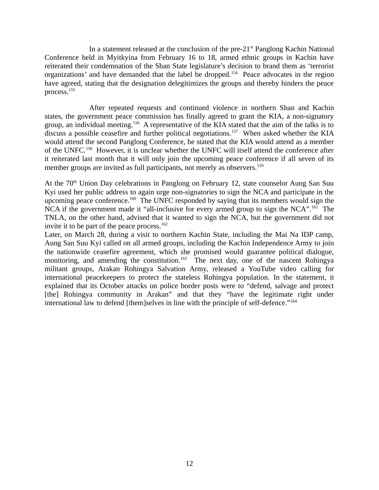In a statement released at the conclusion of the pre- $21<sup>st</sup>$  Panglong Kachin National Conference held in Myitkyina from February 16 to 18, armed ethnic groups in Kachin have reiterated their condemnation of the Shan State legislature's decision to brand them as 'terrorist organizations' and have demanded that the label be dropped.<sup>154</sup> Peace advocates in the region have agreed, stating that the designation delegitimizes the groups and thereby hinders the peace process.<sup>155</sup>

After repeated requests and continued violence in northern Shan and Kachin states, the government peace commission has finally agreed to grant the KIA, a non-signatory group, an individual meeting.<sup>156</sup> A representative of the KIA stated that the aim of the talks is to discuss a possible ceasefire and further political negotiations.<sup>157</sup> When asked whether the KIA would attend the second Panglong Conference, he stated that the KIA would attend as a member of the UNFC.<sup>158</sup> However, it is unclear whether the UNFC will itself attend the conference after it reiterated last month that it will only join the upcoming peace conference if all seven of its member groups are invited as full participants, not merely as observers.<sup>159</sup>

At the  $70<sup>th</sup>$  Union Day celebrations in Panglong on February 12, state counselor Aung San Suu Kyi used her public address to again urge non-signatories to sign the NCA and participate in the upcoming peace conference.<sup>160</sup> The UNFC responded by saying that its members would sign the NCA if the government made it "all-inclusive for every armed group to sign the NCA".<sup>161</sup> The TNLA, on the other hand, advised that it wanted to sign the NCA, but the government did not invite it to be part of the peace process. $162$ 

Later, on March 28, during a visit to northern Kachin State, including the Mai Na IDP camp, Aung San Suu Kyi called on all armed groups, including the Kachin Independence Army to join the nationwide ceasefire agreement, which she promised would guarantee political dialogue, monitoring, and amending the constitution.<sup>163</sup> The next day, one of the nascent Rohingya militant groups, Arakan Rohingya Salvation Army, released a YouTube video calling for international peacekeepers to protect the stateless Rohingya population. In the statement, it explained that its October attacks on police border posts were to "defend, salvage and protect [the] Rohingya community in Arakan" and that they "have the legitimate right under international law to defend [them]selves in line with the principle of self-defence."<sup>164</sup>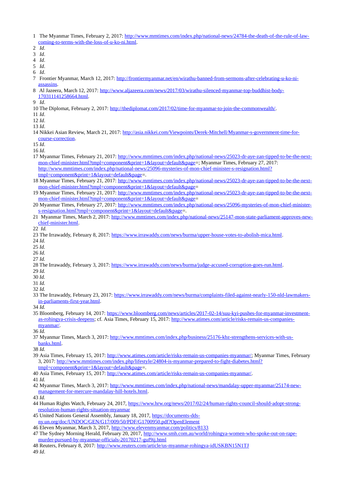- 1 The Myanmar Times, February 2, 2017: [http://www.mmtimes.com/index.php/national-news/24784-the-death-of-the-rule-of-law](http://www.mmtimes.com/index.php/national-news/24784-the-death-of-the-rule-of-law-coming-to-terms-with-the-loss-of-u-ko-ni.html)[coming-to-terms-with-the-loss-of-u-ko-ni.html.](http://www.mmtimes.com/index.php/national-news/24784-the-death-of-the-rule-of-law-coming-to-terms-with-the-loss-of-u-ko-ni.html)
- 2 *Id*.
- 3 *Id*.
- 4 *Id*.
- 5 *Id*.
- 6 *Id*.
- 7 Frontier Myanmar, March 12, 2017: [http://frontiermyanmar.net/en/wirathu-banned-from-sermons-after-celebrating-u-ko-ni](http://frontiermyanmar.net/en/wirathu-banned-from-sermons-after-celebrating-u-ko-ni-assassins)[assassins.](http://frontiermyanmar.net/en/wirathu-banned-from-sermons-after-celebrating-u-ko-ni-assassins)
- 8 Al Jazeera, March 12, 2017: [http://www.aljazeera.com/news/2017/03/wirathu-silenced-myanmar-top-buddhist-body-](http://www.aljazeera.com/news/2017/03/wirathu-silenced-myanmar-top-buddhist-body-170311141258664.html)[170311141258664.html.](http://www.aljazeera.com/news/2017/03/wirathu-silenced-myanmar-top-buddhist-body-170311141258664.html)

9 *Id*.

- 10 The Diplomat, February 2, 2017: [http://thediplomat.com/2017/02/time-for-myanmar-to-join-the-commonwealth/.](http://thediplomat.com/2017/02/time-for-myanmar-to-join-the-commonwealth/)
- 11 *Id*.
- 12 *Id*.

13 *Id*.

14 Nikkei Asian Review, March 21, 2017: [http://asia.nikkei.com/Viewpoints/Derek-Mitchell/Myanmar-s-government-time-for](http://asia.nikkei.com/Viewpoints/Derek-Mitchell/Myanmar-s-government-time-for-course-correction)[course-correction.](http://asia.nikkei.com/Viewpoints/Derek-Mitchell/Myanmar-s-government-time-for-course-correction)

15 *Id*.

16 *Id*.

- 17 Myanmar Times, February 21, 2017: [http://www.mmtimes.com/index.php/national-news/25023-dr-aye-zan-tipped-to-be-the-next](http://www.mmtimes.com/index.php/national-news/25023-dr-aye-zan-tipped-to-be-the-next-mon-chief-minister.html?tmpl=component&print=1&layout=default&page)[mon-chief-minister.html?tmpl=component&print=1&layout=default&page=](http://www.mmtimes.com/index.php/national-news/25023-dr-aye-zan-tipped-to-be-the-next-mon-chief-minister.html?tmpl=component&print=1&layout=default&page); Myanmar Times, February 27, 2017: [http://www.mmtimes.com/index.php/national-news/25096-mysteries-of-mon-chief-minister-s-resignation.html?](http://www.mmtimes.com/index.php/national-news/25096-mysteries-of-mon-chief-minister-s-resignation.html?tmpl=component&print=1&layout=default&page) [tmpl=component&print=1&layout=default&page=](http://www.mmtimes.com/index.php/national-news/25096-mysteries-of-mon-chief-minister-s-resignation.html?tmpl=component&print=1&layout=default&page).
- 18 Myanmar Times, February 21, 2017: [http://www.mmtimes.com/index.php/national-news/25023-dr-aye-zan-tipped-to-be-the-next](http://www.mmtimes.com/index.php/national-news/25023-dr-aye-zan-tipped-to-be-the-next-mon-chief-minister.html?tmpl=component&print=1&layout=default&page)[mon-chief-minister.html?tmpl=component&print=1&layout=default&page=](http://www.mmtimes.com/index.php/national-news/25023-dr-aye-zan-tipped-to-be-the-next-mon-chief-minister.html?tmpl=component&print=1&layout=default&page)
- 19 Myanmar Times, February 21, 2017: [http://www.mmtimes.com/index.php/national-news/25023-dr-aye-zan-tipped-to-be-the-next](http://www.mmtimes.com/index.php/national-news/25023-dr-aye-zan-tipped-to-be-the-next-mon-chief-minister.html?tmpl=component&print=1&layout=default&page)[mon-chief-minister.html?tmpl=component&print=1&layout=default&page=](http://www.mmtimes.com/index.php/national-news/25023-dr-aye-zan-tipped-to-be-the-next-mon-chief-minister.html?tmpl=component&print=1&layout=default&page)
- 20 Myanmar Times, February 27, 2017: [http://www.mmtimes.com/index.php/national-news/25096-mysteries-of-mon-chief-minister](http://www.mmtimes.com/index.php/national-news/25096-mysteries-of-mon-chief-minister-s-resignation.html?tmpl=component&print=1&layout=default&page)[s-resignation.html?tmpl=component&print=1&layout=default&page=](http://www.mmtimes.com/index.php/national-news/25096-mysteries-of-mon-chief-minister-s-resignation.html?tmpl=component&print=1&layout=default&page).
- 21 Myanmar Times, March 2, 2017: [http://www.mmtimes.com/index.php/national-news/25147-mon-state-parliament-approves-new](http://www.mmtimes.com/index.php/national-news/25147-mon-state-parliament-approves-new-chief-minister.html)[chief-minister.html.](http://www.mmtimes.com/index.php/national-news/25147-mon-state-parliament-approves-new-chief-minister.html)

22 *Id.*

- 23 The Irrawaddy, February 8, 2017: [https://www.irrawaddy.com/news/burma/upper-house-votes-to-abolish-mica.html.](https://www.irrawaddy.com/news/burma/upper-house-votes-to-abolish-mica.html)
- 24 *Id.*
- 25 *Id.*
- 26 *Id.*
- 27 *Id.*
- 28 The Irrawaddy, February 3, 2017: [https://www.irrawaddy.com/news/burma/judge-accused-corruption-goes-run.html.](https://www.irrawaddy.com/news/burma/judge-accused-corruption-goes-run.html)
- 29 *Id.*
- 30 *Id.*
- 31 *Id.*
- 32 *Id.*
- 33 The Irrawaddy, February 23, 2017: [https://www.irrawaddy.com/news/burma/complaints-filed-against-nearly-150-nld-lawmakers](https://www.irrawaddy.com/news/burma/complaints-filed-against-nearly-150-nld-lawmakers-in-parliaments-first-year.html)[in-parliaments-first-year.html.](https://www.irrawaddy.com/news/burma/complaints-filed-against-nearly-150-nld-lawmakers-in-parliaments-first-year.html)

34 *Id.*

35 Bloomberg, February 14, 2017: [https://www.bloomberg.com/news/articles/2017-02-14/suu-kyi-pushes-for-myanmar-investment](https://www.bloomberg.com/news/articles/2017-02-14/suu-kyi-pushes-for-myanmar-investment-as-rohingya-crisis-deepens)[as-rohingya-crisis-deepens;](https://www.bloomberg.com/news/articles/2017-02-14/suu-kyi-pushes-for-myanmar-investment-as-rohingya-crisis-deepens) cf. Asia Times, February 15, 2017: [http://www.atimes.com/article/risks-remain-us-companies](http://www.atimes.com/article/risks-remain-us-companies-myanmar/)[myanmar/.](http://www.atimes.com/article/risks-remain-us-companies-myanmar/)

36 *Id.*

- 37 Myanmar Times, March 3, 2017: [http://www.mmtimes.com/index.php/business/25176-kbz-strengthens-services-with-us](http://www.mmtimes.com/index.php/business/25176-kbz-strengthens-services-with-us-banks.html)[banks.html.](http://www.mmtimes.com/index.php/business/25176-kbz-strengthens-services-with-us-banks.html)
- 38 *Id.*
- 39 Asia Times, February 15, 2017: [http://www.atimes.com/article/risks-remain-us-companies-myanmar/;](http://www.atimes.com/article/risks-remain-us-companies-myanmar/) Myanmar Times, February 3, 2017: [http://www.mmtimes.com/index.php/lifestyle/24804-is-myanmar-prepared-to-fight-diabetes.html?](http://www.mmtimes.com/index.php/lifestyle/24804-is-myanmar-prepared-to-fight-diabetes.html?tmpl=component&print=1&layout=default&page) [tmpl=component&print=1&layout=default&page=](http://www.mmtimes.com/index.php/lifestyle/24804-is-myanmar-prepared-to-fight-diabetes.html?tmpl=component&print=1&layout=default&page).
- 40 Asia Times, February 15, 2017: [http://www.atimes.com/article/risks-remain-us-companies-myanmar/.](http://www.atimes.com/article/risks-remain-us-companies-myanmar/)

41 *Id.*

42 Myanmar Times, March 3, 2017: [http://www.mmtimes.com/index.php/national-news/mandalay-upper-myanmar/25174-new](http://www.mmtimes.com/index.php/national-news/mandalay-upper-myanmar/25174-new-management-for-mercure-mandalay-hill-hotels.html)[management-for-mercure-mandalay-hill-hotels.html.](http://www.mmtimes.com/index.php/national-news/mandalay-upper-myanmar/25174-new-management-for-mercure-mandalay-hill-hotels.html)

- 44 Human Rights Watch, February 24, 2017, [https://www.hrw.org/news/2017/02/24/human-rights-council-should-adopt-strong](https://www.hrw.org/news/2017/02/24/human-rights-council-should-adopt-strong-resolution-human-rights-situation-myanmar)[resolution-human-rights-situation-myanmar](https://www.hrw.org/news/2017/02/24/human-rights-council-should-adopt-strong-resolution-human-rights-situation-myanmar)
- 45 United Nations General Assembly, January 18, 2017, [https://documents-dds](https://documents-dds-ny.un.org/doc/UNDOC/GEN/G17/009/50/PDF/G1700950.pdf?OpenElement)[ny.un.org/doc/UNDOC/GEN/G17/009/50/PDF/G1700950.pdf?OpenElement](https://documents-dds-ny.un.org/doc/UNDOC/GEN/G17/009/50/PDF/G1700950.pdf?OpenElement)
- 46 Eleven Myanmar, March 3, 2017,<http://www.elevenmyanmar.com/politics/8133>
- 47 The Sydney Morning Herald, February 20, 2017, [http://www.smh.com.au/world/rohingya-women-who-spoke-out-on-rape](http://www.smh.com.au/world/rohingya-women-who-spoke-out-on-rape-murder-pursued-by-myanmar-officials-20170217-guf9ij.html)[murder-pursued-by-myanmar-officials-20170217-guf9ij.html](http://www.smh.com.au/world/rohingya-women-who-spoke-out-on-rape-murder-pursued-by-myanmar-officials-20170217-guf9ij.html)
- 48 Reuters, February 8, 2017:<http://www.reuters.com/article/us-myanmar-rohingya-idUSKBN15N1TJ> 49 *Id*.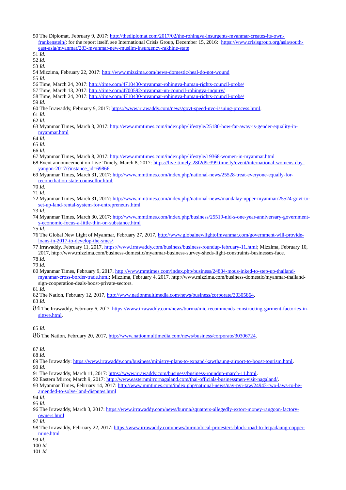- 50 The Diplomat, February 9, 2017: [http://thediplomat.com/2017/02/the-rohingya-insurgents-myanmar-creates-its-own](http://thediplomat.com/2017/02/the-rohingya-insurgents-myanmar-creates-its-own-frankenstein/)[frankenstein/;](http://thediplomat.com/2017/02/the-rohingya-insurgents-myanmar-creates-its-own-frankenstein/) for the report itself, see International Crisis Group, December 15, 2016: [https://www.crisisgroup.org/asia/south](https://www.crisisgroup.org/asia/south-east-asia/myanmar/283-myanmar-new-muslim-insurgency-rakhine-state)[east-asia/myanmar/283-myanmar-new-muslim-insurgency-rakhine-state](https://www.crisisgroup.org/asia/south-east-asia/myanmar/283-myanmar-new-muslim-insurgency-rakhine-state)
- 51 *Id*.

52 *Id*.

53 *Id*.

- 54 Mizzima, February 22, 2017:<http://www.mizzima.com/news-domestic/heal-do-not-wound>
- 55 *Id*.
- 56 Time, March 24, 2017:<http://time.com/4710430/myanmar-rohingya-human-rights-council-probe/>
- 57 Time, March 13, 2017:<http://time.com/4700592/myanmar-un-council-rohingya-inquiry/>
- 58 Time, March 24, 2017:<http://time.com/4710430/myanmar-rohingya-human-rights-council-probe/>

59 *Id*.

- 60 The Irrawaddy, February 9, 2017: [https://www.irrawaddy.com/news/govt-speed-nvc-issuing-process.html.](https://www.irrawaddy.com/news/govt-speed-nvc-issuing-process.html)
- 61 *Id.*
- 62 *Id.*

63 Myanmar Times, March 3, 2017: [http://www.mmtimes.com/index.php/lifestyle/25180-how-far-away-is-gender-equality-in](http://www.mmtimes.com/index.php/lifestyle/25180-how-far-away-is-gender-equality-in-myanmar.html)[myanmar.html](http://www.mmtimes.com/index.php/lifestyle/25180-how-far-away-is-gender-equality-in-myanmar.html)

64 *Id*.

65 *Id*.

66 *Id*.

67 Myanmar Times, March 8, 2017:<http://www.mmtimes.com/index.php/lifestyle/19368-women-in-myanmar.html>

- 68 Event announcement on Live-Timely, March 8, 2017: [https://live-timely-28f2d9c399.time.ly/event/international-womens-day](https://live-timely-28f2d9c399.time.ly/event/international-womens-day-yangon-2017/?instance_id=69866)[yangon-2017/?instance\\_id=69866](https://live-timely-28f2d9c399.time.ly/event/international-womens-day-yangon-2017/?instance_id=69866)
- 69 Myanmar Times, March 31, 2017: [http://www.mmtimes.com/index.php/national-news/25528-treat-everyone-equally-for](http://www.mmtimes.com/index.php/national-news/25528-treat-everyone-equally-for-reconciliation-state-counsellor.html)[reconciliation-state-counsellor.html](http://www.mmtimes.com/index.php/national-news/25528-treat-everyone-equally-for-reconciliation-state-counsellor.html)

70 *Id*.

71 *Id*.

- 72 Myanmar Times, March 31, 2017: [http://www.mmtimes.com/index.php/national-news/mandalay-upper-myanmar/25524-govt-to](http://www.mmtimes.com/index.php/national-news/mandalay-upper-myanmar/25524-govt-to-set-up-land-rental-system-for-entrepreneurs.html)[set-up-land-rental-system-for-entrepreneurs.html](http://www.mmtimes.com/index.php/national-news/mandalay-upper-myanmar/25524-govt-to-set-up-land-rental-system-for-entrepreneurs.html)
- 73 *Id*.
- 74 Myanmar Times, March 30, 2017: [http://www.mmtimes.com/index.php/business/25519-nld-s-one-year-anniversary-government](http://www.mmtimes.com/index.php/business/25519-nld-s-one-year-anniversary-government-s-economic-focus-a-little-thin-on-substance.html)[s-economic-focus-a-little-thin-on-substance.html](http://www.mmtimes.com/index.php/business/25519-nld-s-one-year-anniversary-government-s-economic-focus-a-little-thin-on-substance.html)
- 75 *Id*.
- 76 The Global New Light of Myanmar, February 27, 2017, [http://www.globalnewlightofmyanmar.com/government-will-provide](http://www.globalnewlightofmyanmar.com/government-will-provide-loans-in-2017-to-develop-the-smes/)[loans-in-2017-to-develop-the-smes/.](http://www.globalnewlightofmyanmar.com/government-will-provide-loans-in-2017-to-develop-the-smes/)
- 77 Irrawaddy, February 11, 2017, [https://www.irrawaddy.com/business/business-roundup-february-11.html;](https://www.irrawaddy.com/business/business-roundup-february-11.html) Mizzima, February 10, 2017, http://www.mizzima.com/business-domestic/myanmar-business-survey-sheds-light-constraints-businesses-face. 78 *Id.*

79 *Id.*

80 Myanmar Times, February 9, 2017, [http://www.mmtimes.com/index.php/business/24884-mous-inked-to-step-up-thailand](http://www.mmtimes.com/index.php/business/24884-mous-inked-to-step-up-thailand-myanmar-cross-border-trade.html)[myanmar-cross-border-trade.html;](http://www.mmtimes.com/index.php/business/24884-mous-inked-to-step-up-thailand-myanmar-cross-border-trade.html) Mizzima, February 4, 2017, http://www.mizzima.com/business-domestic/myanmar-thailandsign-cooperation-deals-boost-private-sectors.

81 *Id*.

82 The Nation, February 12, 2017, [http://www.nationmultimedia.com/news/business/corporate/30305864.](http://www.nationmultimedia.com/news/business/corporate/30305864)

83 *Id.*

84 The Irrawaddy, February 6, 20`7, [https://www.irrawaddy.com/news/burma/mic-recommends-constructing-garment-factories-in](https://www.irrawaddy.com/news/burma/mic-recommends-constructing-garment-factories-in-sittwe.html)[sittwe.html.](https://www.irrawaddy.com/news/burma/mic-recommends-constructing-garment-factories-in-sittwe.html)

85 *Id.*

87 *Id.*

88 *Id.*

- 89 The Irrawaddy: [https://www.irrawaddy.com/business/ministry-plans-to-expand-kawthaung-airport-to-boost-tourism.html.](https://www.irrawaddy.com/business/ministry-plans-to-expand-kawthaung-airport-to-boost-tourism.html) 90 *Id.*
- 91 The Irrawaddy, March 11, 2017: [https://www.irrawaddy.com/business/business-roundup-march-11.html.](https://www.irrawaddy.com/business/business-roundup-march-11.html)
- 92 Eastern Mirror, March 9, 2017: [http://www.easternmirrornagaland.com/thai-officials-businessmen-visit-nagaland/.](http://www.easternmirrornagaland.com/thai-officials-businessmen-visit-nagaland/)
- 93 Myanmar Times, February 14, 2017: [http://www.mmtimes.com/index.php/national-news/nay-pyi-taw/24943-two-laws-to-be](http://www.mmtimes.com/index.php/national-news/nay-pyi-taw/24943-two-laws-to-be-amended-to-solve-land-disputes.html)[amended-to-solve-land-disputes.html](http://www.mmtimes.com/index.php/national-news/nay-pyi-taw/24943-two-laws-to-be-amended-to-solve-land-disputes.html)

94 *Id.*

95 *Id.*

96 The Irrawaddy, March 3, 2017: [https://www.irrawaddy.com/news/burma/squatters-allegedly-extort-money-rangoon-factory](https://www.irrawaddy.com/news/burma/squatters-allegedly-extort-money-rangoon-factory-owners.html)[owners.html](https://www.irrawaddy.com/news/burma/squatters-allegedly-extort-money-rangoon-factory-owners.html)

97 *Id.*

98 The Irrawaddy, February 22, 2017: [https://www.irrawaddy.com/news/burma/local-protesters-block-road-to-letpadaung-copper](https://www.irrawaddy.com/news/burma/local-protesters-block-road-to-letpadaung-copper-mine.html)[mine.html](https://www.irrawaddy.com/news/burma/local-protesters-block-road-to-letpadaung-copper-mine.html)

99 *Id.*

100 *Id.*

<sup>86</sup> The Nation, February 20, 2017, [http://www.nationmultimedia.com/news/business/corporate/30306724.](http://www.nationmultimedia.com/news/business/corporate/30306724)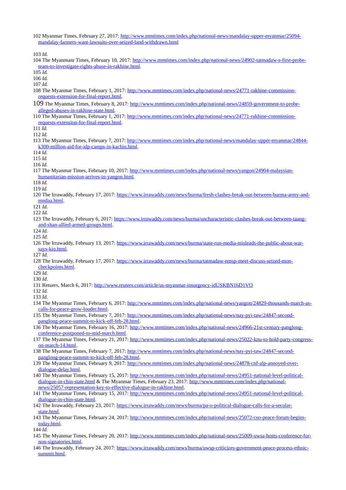102 Myanmar Times, February 27, 2017: [http://www.mmtimes.com/index.php/national-news/mandalay-upper-myanmar/25094](http://www.mmtimes.com/index.php/national-news/mandalay-upper-myanmar/25094-mandalay-farmers-want-lawsuits-over-seized-land-withdrawn.html) [mandalay-farmers-want-lawsuits-over-seized-land-withdrawn.html](http://www.mmtimes.com/index.php/national-news/mandalay-upper-myanmar/25094-mandalay-farmers-want-lawsuits-over-seized-land-withdrawn.html)

103 *Id.*

104 The Myanmanr Times, February 10, 2017: [http://www.mmtimes.com/index.php/national-news/24902-tatmadaw-s-first-probe](http://www.mmtimes.com/index.php/national-news/24902-tatmadaw-s-first-probe-team-to-investigate-rights-abuse-in-rakhine.html)[team-to-investigate-rights-abuse-in-rakhine.html.](http://www.mmtimes.com/index.php/national-news/24902-tatmadaw-s-first-probe-team-to-investigate-rights-abuse-in-rakhine.html)

105 *Id.*

106 *Id.* 

107 *Id.*

- 108 The Myanmar Times, February 1, 2017: [http://www.mmtimes.com/index.php/national-news/24771-rakhine-commission](http://www.mmtimes.com/index.php/national-news/24771-rakhine-commission-requests-extension-for-final-report.html)[requests-extension-for-final-report.html.](http://www.mmtimes.com/index.php/national-news/24771-rakhine-commission-requests-extension-for-final-report.html)
- 109 The Myanmar Times, February 8, 2017: [http://www.mmtimes.com/index.php/national-news/24859-government-to-probe](http://www.mmtimes.com/index.php/national-news/24859-government-to-probe-alleged-abuses-in-rakhine-state.html)[alleged-abuses-in-rakhine-state.html.](http://www.mmtimes.com/index.php/national-news/24859-government-to-probe-alleged-abuses-in-rakhine-state.html)
- 110 The Myanmar Times, February 1, 2017: [http://www.mmtimes.com/index.php/national-news/24771-rakhine-commission](http://www.mmtimes.com/index.php/national-news/24771-rakhine-commission-requests-extension-for-final-report.html)[requests-extension-for-final-report.html.](http://www.mmtimes.com/index.php/national-news/24771-rakhine-commission-requests-extension-for-final-report.html)

111 *Id.* 112 *Id.*

- 113 The Myanmar Times, February 7, 2017: [http://www.mmtimes.com/index.php/national-news/mandalay-upper-myanmar/24844](http://www.mmtimes.com/index.php/national-news/mandalay-upper-myanmar/24844-k300-million-aid-for-idp-camps-in-kachin.html) [k300-million-aid-for-idp-camps-in-kachin.html.](http://www.mmtimes.com/index.php/national-news/mandalay-upper-myanmar/24844-k300-million-aid-for-idp-camps-in-kachin.html)
- 114 *Id.*
- 115 *Id.*

116 *Id.*

- 117 The Myanmar Times, February 10, 2017: [http://www.mmtimes.com/index.php/national-news/yangon/24904-malaysian](http://www.mmtimes.com/index.php/national-news/yangon/24904-malaysian-humanitarian-mission-arrives-in-yangon.html)[humanitarian-mission-arrives-in-yangon.html.](http://www.mmtimes.com/index.php/national-news/yangon/24904-malaysian-humanitarian-mission-arrives-in-yangon.html)
- 118 *Id.*

119 *Id.*

120 The Irrawaddy, February 17, 2017: [https://www.irrawaddy.com/news/burma/fresh-clashes-break-out-between-burma-army-and](https://www.irrawaddy.com/news/burma/fresh-clashes-break-out-between-burma-army-and-mndaa.html)[mndaa.html.](https://www.irrawaddy.com/news/burma/fresh-clashes-break-out-between-burma-army-and-mndaa.html)

121 *Id.*

- 122 *Id.*
- 123 The Irrawaddy, February 6, 2017: [https://www.irrawaddy.com/news/burma/uncharacteristic-clashes-break-out-between-taang](https://www.irrawaddy.com/news/burma/uncharacteristic-clashes-break-out-between-taang-and-shan-allied-armed-groups.html)[and-shan-allied-armed-groups.html.](https://www.irrawaddy.com/news/burma/uncharacteristic-clashes-break-out-between-taang-and-shan-allied-armed-groups.html)

124 *Id.*

- 125 *Id.*
- 126 The Irrawaddy, February 13, 2017: [https://www.irrawaddy.com/news/burma/state-run-media-misleads-the-public-about-war](https://www.irrawaddy.com/news/burma/state-run-media-misleads-the-public-about-war-says-kio.html)[says-kio.html.](https://www.irrawaddy.com/news/burma/state-run-media-misleads-the-public-about-war-says-kio.html)

127 *Id.*

- 128 The Irrawaddy, February 17, 2017: [https://www.irrawaddy.com/news/burma/tatmadaw-nmsp-meet-discuss-seized-mon](https://www.irrawaddy.com/news/burma/tatmadaw-nmsp-meet-discuss-seized-mon-checkpoints.html)[checkpoints.html.](https://www.irrawaddy.com/news/burma/tatmadaw-nmsp-meet-discuss-seized-mon-checkpoints.html)
- 129 *Id.*
- 130 *Id.*
- 131 Retuers, March 6, 2017:<http://www.reuters.com/article/us-myanmar-insurgency-idUSKBN16D1VO>

132 *Id*.

133 *Id*.

- 134 The Myanmar Times, February 6, 2017: [http://www.mmtimes.com/index.php/national-news/yangon/24829-thousands-march-as](http://www.mmtimes.com/index.php/national-news/yangon/24829-thousands-march-as-calls-for-peace-grow-louder.html)[calls-for-peace-grow-louder.html.](http://www.mmtimes.com/index.php/national-news/yangon/24829-thousands-march-as-calls-for-peace-grow-louder.html)
- 135 The Myanmar Times, February 7, 2017: [http://www.mmtimes.com/index.php/national-news/nay-pyi-taw/24847-second](http://www.mmtimes.com/index.php/national-news/nay-pyi-taw/24847-second-panglong-peace-summit-to-kick-off-feb-28.html)[panglong-peace-summit-to-kick-off-feb-28.html.](http://www.mmtimes.com/index.php/national-news/nay-pyi-taw/24847-second-panglong-peace-summit-to-kick-off-feb-28.html)
- 136 The Myanmar Times, February 16, 2017: [http://www.mmtimes.com/index.php/national-news/24966-21st-century-panglong](http://www.mmtimes.com/index.php/national-news/24966-21st-century-panglong-conference-postponed-to-mid-march.html)[conference-postponed-to-mid-march.html.](http://www.mmtimes.com/index.php/national-news/24966-21st-century-panglong-conference-postponed-to-mid-march.html)
- 137 The Myanmar Times, February 21, 2017: [http://www.mmtimes.com/index.php/national-news/25022-knu-to-hold-party-congress](http://www.mmtimes.com/index.php/national-news/25022-knu-to-hold-party-congress-on-march-14.html)[on-march-14.html.](http://www.mmtimes.com/index.php/national-news/25022-knu-to-hold-party-congress-on-march-14.html)
- 138 The Myanmar Times, February 7, 2017: [http://www.mmtimes.com/index.php/national-news/nay-pyi-taw/24847-second](http://www.mmtimes.com/index.php/national-news/nay-pyi-taw/24847-second-panglong-peace-summit-to-kick-off-feb-28.html)[panglong-peace-summit-to-kick-off-feb-28.html.](http://www.mmtimes.com/index.php/national-news/nay-pyi-taw/24847-second-panglong-peace-summit-to-kick-off-feb-28.html)
- 139 The Myanmar Times, February 9, 2017: [http://www.mmtimes.com/index.php/national-news/24878-cnf-alp-annoyed-over](http://www.mmtimes.com/index.php/national-news/24878-cnf-alp-annoyed-over-dialogue-delay.html)[dialogue-delay.html.](http://www.mmtimes.com/index.php/national-news/24878-cnf-alp-annoyed-over-dialogue-delay.html)
- 140 The Myanmar Times, February 15, 2017: [http://www.mmtimes.com/index.php/national-news/24951-national-level-political](http://www.mmtimes.com/index.php/national-news/24951-national-level-political-dialogue-in-chin-state.html)[dialogue-in-chin-state.html](http://www.mmtimes.com/index.php/national-news/24951-national-level-political-dialogue-in-chin-state.html) & The Myanmar Times, February 23, 2017: [http://www.mmtimes.com/index.php/national](http://www.mmtimes.com/index.php/national-news/25057-representation-key-to-effective-dialogue-in-rakhine.html)[news/25057-representation-key-to-effective-dialogue-in-rakhine.html.](http://www.mmtimes.com/index.php/national-news/25057-representation-key-to-effective-dialogue-in-rakhine.html)
- 141 The Myanmar Times, February 15, 2017: [http://www.mmtimes.com/index.php/national-news/24951-national-level-political](http://www.mmtimes.com/index.php/national-news/24951-national-level-political-dialogue-in-chin-state.html)[dialogue-in-chin-state.html.](http://www.mmtimes.com/index.php/national-news/24951-national-level-political-dialogue-in-chin-state.html)
- 142 The Irrawaddy, February 23, 2017: [https://www.irrawaddy.com/news/burma/pa-o-political-dialogue-calls-for-a-secular](https://www.irrawaddy.com/news/burma/pa-o-political-dialogue-calls-for-a-secular-state.html)[state.html.](https://www.irrawaddy.com/news/burma/pa-o-political-dialogue-calls-for-a-secular-state.html)
- 143 The Myanmar Times, February 24, 2017: [http://www.mmtimes.com/index.php/national-news/25072-cso-peace-forum-begins](http://www.mmtimes.com/index.php/national-news/25072-cso-peace-forum-begins-today.html)[today.html.](http://www.mmtimes.com/index.php/national-news/25072-cso-peace-forum-begins-today.html)

- 145 The Myanmar Times, February 20, 2017: [http://www.mmtimes.com/index.php/national-news/25009-uwsa-hosts-conference-for](http://www.mmtimes.com/index.php/national-news/25009-uwsa-hosts-conference-for-non-signatories.html)[non-signatories.html.](http://www.mmtimes.com/index.php/national-news/25009-uwsa-hosts-conference-for-non-signatories.html)
- 146 The Irrawaddy, February 24, 2017: [https://www.irrawaddy.com/news/burma/uwsp-criticizes-government-peace-process-ethnic](https://www.irrawaddy.com/news/burma/uwsp-criticizes-government-peace-process-ethnic-summit.html)[summit.html.](https://www.irrawaddy.com/news/burma/uwsp-criticizes-government-peace-process-ethnic-summit.html)